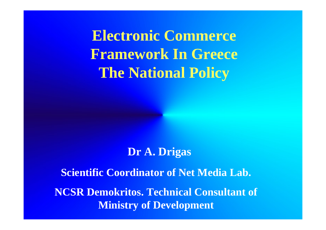**Electronic Commerce Framework In Greece The National Policy**

## **Dr A. Drigas**

**Scientific Coordinator of Net Media Lab.**

**NCSR Demokritos. Technical Consultant of Ministry of Development**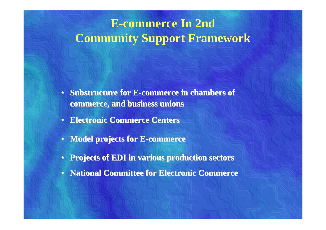# **E-commerce In 2nd Community Support Framework**

- Substructure for E-commerce in chambers of **commerce, and business unions commerce, and business unions**
- **Electronic Commerce Centers Electronic Commerce Centers**
- **Model projects for E Model projects for E -commerce commerce**
- **Projects of EDI in various production sectors Projects of EDI in various production sectors**
- **National Committee for Electronic Commerce National Committee for Electronic Commerce**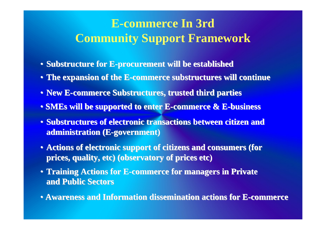# **E-commerce In 3rd Community Support Framework**

- **Substructure for E Substructure for E-procurement will be established procurement will be established**
- **The expansion of the E The expansion of the E-commerce substructures will continue commerce substructures will continue**
- **New E-commerce Substructures, trusted third parties commerce Substructures, trusted third parties**
- **SMEs will be supported to enter E will be supported to enter E-commerce & E commerce & E-business business**
- Substructures of electronic transactions between citizen and **administration (E administration (E-government) government)**
- Actions of electronic support of citizens and consumers (for **prices, quality, etc) (observatory of prices etc) prices, quality, etc) (observatory of prices etc)**
- **Training Actions for E Training Actions for E-commerce for managers in Private commerce for managers in Private and Public Sectors and Public Sectors**
- **Awareness and Information dissemination actions for E Awareness and Information dissemination actions for E-commerce commerce**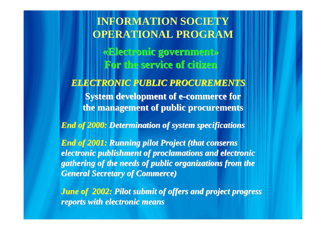**INFORMATION SOCIETY OPERATIONAL PROGRAM «Electronic government Electronic government» For the service of citizen For the service of citizen***ELECTRONIC PUBLIC PROCUREMENTS ELECTRONIC PUBLIC PROCUREMENTS* **System development of e System development of e -commerce for commerce for the management of public procurements** *End of 2000: Determination of system specifications End of 2001: Running pilot Project (that conserns electronic publishment of proclamations and electronic gathering of the needs of public organizations from the gathering of the needs of public organizations from the General Secretary of Commerce) General Secretary of Commerce) June of 2002: Pilot submit of offers and project progress reports with electronic means*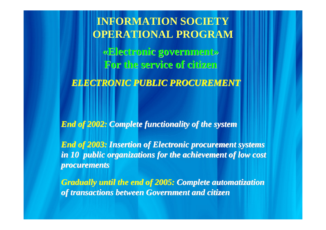**INFORMATION SOCIETY OPERATIONAL PROGRAM «Electronic government Electronic government» For the service of citizen For the service of citizen***ELECTRONIC PUBLIC PROCUREMENT ELECTRONIC PUBLIC PROCUREMENT*

*End of 2002: End of 2002: Complete functionality of the system Complete functionality of the system*

*End of 2003: Insertion of Electronic procurement systems* in 10 public organizations for the achievement of low cost *procurements procurements*

*Gradually until the end of 2005: Complete automatization of transactions between Government and citizen of transactions between Government and citizen*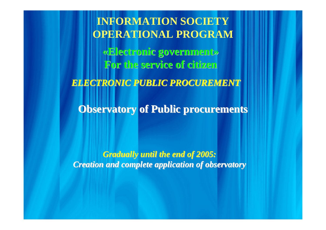**Observatory of Public procurements Observatory of Public procurements INFORMATION SOCIETY OPERATIONAL PROGRAM «Electronic government Electronic government» For the service of citizen For the service of citizen***ELECTRONIC PUBLIC PROCUREMENT ELECTRONIC PUBLIC PROCUREMENT*

*Gradually until the end of 2005: Gradually until the end of 2005: Creation and complete application of observatory Creation and complete application of observatory*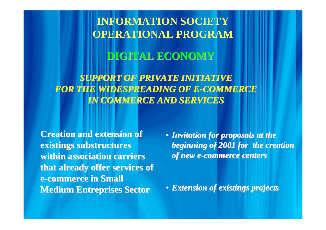**INFORMATION SOCIETY OPERATIONAL PROGRAM**

### **DIGITAL ECONOMY DIGITAL ECONOMY**

**SUPPORT OF PRIVATE INITIATIVE** *FOR THE WIDESPREADING OF E FOR THE WIDESPREADING OF E-COMMERCE COMMERCE IN COMMERCE AND SERVICES IN COMMERCE AND SERVICES* 

**Creation and extension of existings substructures** within association carriers that already offer services of **e -commerce in Small commerce in Small Medium Entreprises Sector Medium Entreprises Sector**

• *Invitation for proposals at the Invitation for proposals at the beginning of 2001 for the creation beginning of 2001 for the creation of new e of new e -commerce centers commerce centers*

• *Extension of existings projects Extension of existings projects*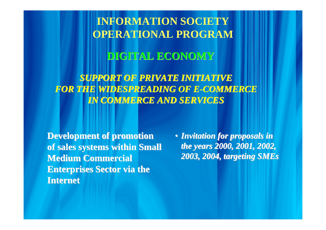**INFORMATION SOCIETY OPERATIONAL PROGRAM**

### **DIGITAL ECONOMY DIGITAL ECONOMY**

**SUPPORT OF PRIVATE INITIATIVE** *FOR THE WIDESPREADING OF E FOR THE WIDESPREADING OF E-COMMERCE COMMERCE IN COMMERCE AND SERVICES IN COMMERCE AND SERVICES* 

**Development of promotion of sales systems within Small of sales systems within Small Medium Commercial Enterprises Sector via the Internet Internet**

• *Invitation for proposals in Invitation for proposals in the years 2000, 2001, 2002, 2003, 2004, targeting SMEs 2003, 2004, targeting SMEs*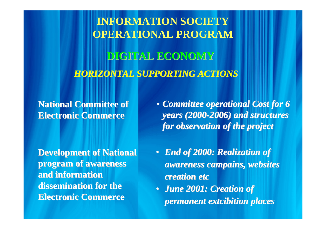*HORIZONTAL SUPPORTING ACTIONS HORIZONTAL SUPPORTING ACTIONS* **INFORMATION SOCIETY OPERATIONAL PROGRAM DIGITAL ECONOMY DIGITAL ECONOMY**

**National Committee of Electronic Commerce Electronic Commerce**

**Development of National Development of National program of awareness program of awareness and information and information dissemination for the Electronic Commerce Electronic Commerce**

• *Committee operational Cost for 6 years (2000 years (2000-2006) and structures 2006) and structures for observation of the project for observation of the project*

• *End of 2000: Realization of awareness campains, websites awareness campains, websites creation etc creation etc*

• *June 2001: Creation of June 2001: Creation of permanent extcibition places permanent extcibition places*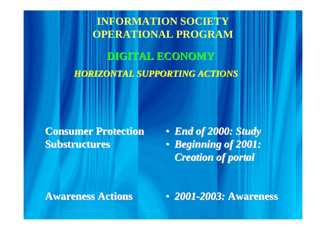**INFORMATION SOCIETY OPERATIONAL PROGRAM** *HORIZONTAL SUPPORTING ACTIONS HORIZONTAL SUPPORTING ACTIONS* **DIGITAL ECONOMY DIGITAL ECONOMY**

**Consumer Protection Consumer ProtectionSubstructures** 

• *End of 2000: Study End of 2000: Study* • *Beginning of 2001: Beginning of 2001: Creation of portal Creation of portal*

**Awareness Actions Awareness Actions**

• *2001-2003:* Awareness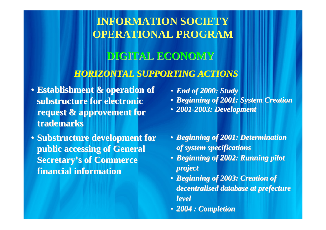## **INFORMATION SOCIETY OPERATIONAL PROGRAM**

# **DIGITAL ECONOMY DIGITAL ECONOMY**

### *HORIZONTAL SUPPORTING ACTIONS HORIZONTAL SUPPORTING ACTIONS*

- **Establishment & operation of Establishment & operation of substructure for electronic substructure for electronic**  request & approvement for **trademarks trademarks**
- Substructure development for **public accessing of General public accessing of General Secretary's of Commerce financial information financial information**
- *End of 2000: Study End of 2000: Study* • *Beginning of 2001: System Creation Beginning of 2001: System Creation*  • *2001-2003: Development 2003: Development*
- *Beginning of 2001: Determination Beginning of 2001: Determination of system specifications of system specifications*
- *Beginning of 2002: Running pilot Beginning of 2002: Running pilot project project*
- *Beginning of 2003: Creation of Beginning of 2003: Creation of decentralised database at prefecture level*
- *2004 : Completion 2004 : Completion*